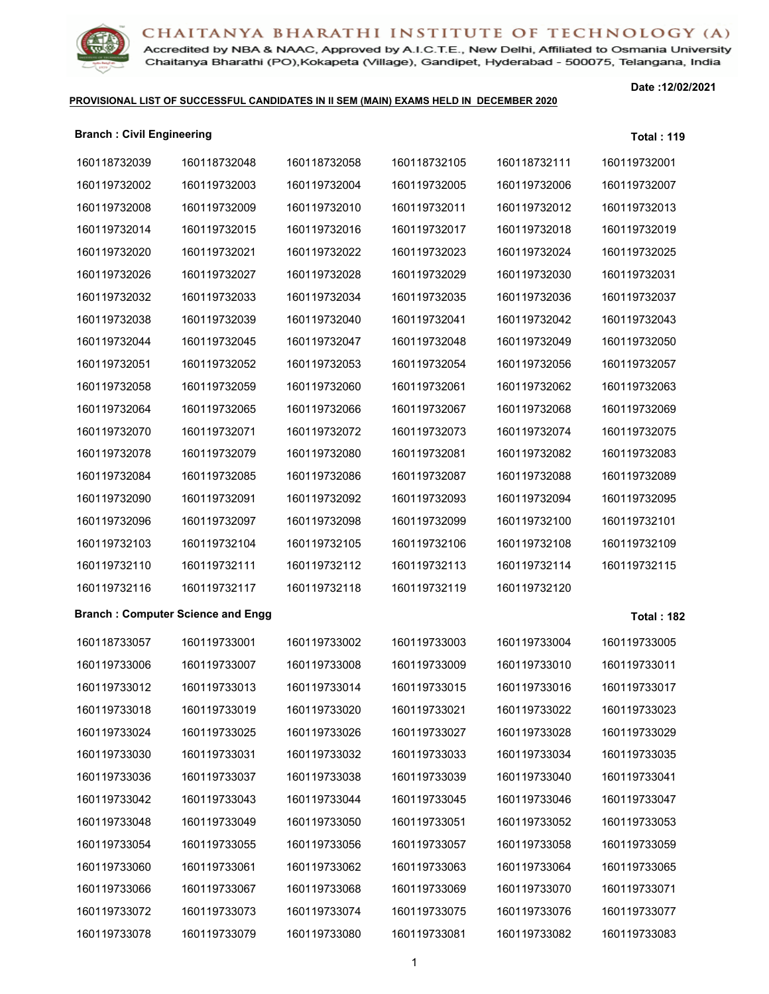Accredited by NBA & NAAC, Approved by A.I.C.T.E., New Delhi, Affiliated to Osmania University Chaitanya Bharathi (PO), Kokapeta (Village), Gandipet, Hyderabad - 500075, Telangana, India

### **PROVISIONAL LIST OF SUCCESSFUL CANDIDATES IN II SEM (MAIN) EXAMS HELD IN DECEMBER 2020**

| <b>Branch: Civil Engineering</b> |                                          |              |              |              | <b>Total: 119</b> |
|----------------------------------|------------------------------------------|--------------|--------------|--------------|-------------------|
| 160118732039                     | 160118732048                             | 160118732058 | 160118732105 | 160118732111 | 160119732001      |
| 160119732002                     | 160119732003                             | 160119732004 | 160119732005 | 160119732006 | 160119732007      |
| 160119732008                     | 160119732009                             | 160119732010 | 160119732011 | 160119732012 | 160119732013      |
| 160119732014                     | 160119732015                             | 160119732016 | 160119732017 | 160119732018 | 160119732019      |
| 160119732020                     | 160119732021                             | 160119732022 | 160119732023 | 160119732024 | 160119732025      |
| 160119732026                     | 160119732027                             | 160119732028 | 160119732029 | 160119732030 | 160119732031      |
| 160119732032                     | 160119732033                             | 160119732034 | 160119732035 | 160119732036 | 160119732037      |
| 160119732038                     | 160119732039                             | 160119732040 | 160119732041 | 160119732042 | 160119732043      |
| 160119732044                     | 160119732045                             | 160119732047 | 160119732048 | 160119732049 | 160119732050      |
| 160119732051                     | 160119732052                             | 160119732053 | 160119732054 | 160119732056 | 160119732057      |
| 160119732058                     | 160119732059                             | 160119732060 | 160119732061 | 160119732062 | 160119732063      |
| 160119732064                     | 160119732065                             | 160119732066 | 160119732067 | 160119732068 | 160119732069      |
| 160119732070                     | 160119732071                             | 160119732072 | 160119732073 | 160119732074 | 160119732075      |
| 160119732078                     | 160119732079                             | 160119732080 | 160119732081 | 160119732082 | 160119732083      |
| 160119732084                     | 160119732085                             | 160119732086 | 160119732087 | 160119732088 | 160119732089      |
| 160119732090                     | 160119732091                             | 160119732092 | 160119732093 | 160119732094 | 160119732095      |
| 160119732096                     | 160119732097                             | 160119732098 | 160119732099 | 160119732100 | 160119732101      |
| 160119732103                     | 160119732104                             | 160119732105 | 160119732106 | 160119732108 | 160119732109      |
| 160119732110                     | 160119732111                             | 160119732112 | 160119732113 | 160119732114 | 160119732115      |
| 160119732116                     | 160119732117                             | 160119732118 | 160119732119 | 160119732120 |                   |
|                                  | <b>Branch: Computer Science and Engg</b> |              |              |              | <b>Total: 182</b> |
| 160118733057                     | 160119733001                             | 160119733002 | 160119733003 | 160119733004 | 160119733005      |
| 160119733006                     | 160119733007                             | 160119733008 | 160119733009 | 160119733010 | 160119733011      |
| 160119733012                     | 160119733013                             | 160119733014 | 160119733015 | 160119733016 | 160119733017      |
| 160119733018                     | 160119733019                             | 160119733020 | 160119733021 | 160119733022 | 160119733023      |
| 160119733024                     | 160119733025                             | 160119733026 | 160119733027 | 160119733028 | 160119733029      |
| 160119733030                     | 160119733031                             | 160119733032 | 160119733033 | 160119733034 | 160119733035      |
| 160119733036                     | 160119733037                             | 160119733038 | 160119733039 | 160119733040 | 160119733041      |
| 160119733042                     | 160119733043                             | 160119733044 | 160119733045 | 160119733046 | 160119733047      |
| 160119733048                     | 160119733049                             | 160119733050 | 160119733051 | 160119733052 | 160119733053      |
| 160119733054                     | 160119733055                             | 160119733056 | 160119733057 | 160119733058 | 160119733059      |
| 160119733060                     | 160119733061                             | 160119733062 | 160119733063 | 160119733064 | 160119733065      |
| 160119733066                     | 160119733067                             | 160119733068 | 160119733069 | 160119733070 | 160119733071      |
| 160119733072                     | 160119733073                             | 160119733074 | 160119733075 | 160119733076 | 160119733077      |
| 160119733078                     | 160119733079                             | 160119733080 | 160119733081 | 160119733082 | 160119733083      |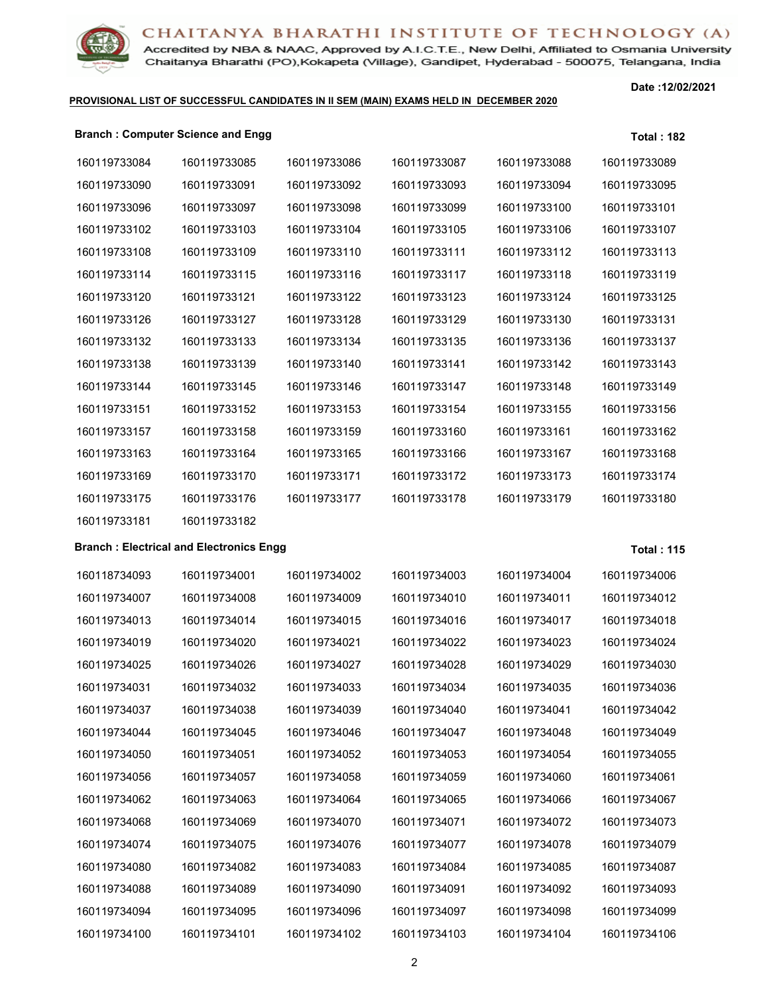

Accredited by NBA & NAAC, Approved by A.I.C.T.E., New Delhi, Affiliated to Osmania University Chaitanya Bharathi (PO), Kokapeta (Village), Gandipet, Hyderabad - 500075, Telangana, India

### **PROVISIONAL LIST OF SUCCESSFUL CANDIDATES IN II SEM (MAIN) EXAMS HELD IN DECEMBER 2020**

**Date :12/02/2021**

### **Branch : Computer Science and Engg Total : 182**

| 160119733084 | 160119733085                                   | 160119733086 | 160119733087 | 160119733088 | 160119733089      |
|--------------|------------------------------------------------|--------------|--------------|--------------|-------------------|
| 160119733090 | 160119733091                                   | 160119733092 | 160119733093 | 160119733094 | 160119733095      |
| 160119733096 | 160119733097                                   | 160119733098 | 160119733099 | 160119733100 | 160119733101      |
| 160119733102 | 160119733103                                   | 160119733104 | 160119733105 | 160119733106 | 160119733107      |
| 160119733108 | 160119733109                                   | 160119733110 | 160119733111 | 160119733112 | 160119733113      |
| 160119733114 | 160119733115                                   | 160119733116 | 160119733117 | 160119733118 | 160119733119      |
| 160119733120 | 160119733121                                   | 160119733122 | 160119733123 | 160119733124 | 160119733125      |
| 160119733126 | 160119733127                                   | 160119733128 | 160119733129 | 160119733130 | 160119733131      |
| 160119733132 | 160119733133                                   | 160119733134 | 160119733135 | 160119733136 | 160119733137      |
| 160119733138 | 160119733139                                   | 160119733140 | 160119733141 | 160119733142 | 160119733143      |
| 160119733144 | 160119733145                                   | 160119733146 | 160119733147 | 160119733148 | 160119733149      |
| 160119733151 | 160119733152                                   | 160119733153 | 160119733154 | 160119733155 | 160119733156      |
| 160119733157 | 160119733158                                   | 160119733159 | 160119733160 | 160119733161 | 160119733162      |
| 160119733163 | 160119733164                                   | 160119733165 | 160119733166 | 160119733167 | 160119733168      |
| 160119733169 | 160119733170                                   | 160119733171 | 160119733172 | 160119733173 | 160119733174      |
| 160119733175 | 160119733176                                   | 160119733177 | 160119733178 | 160119733179 | 160119733180      |
| 160119733181 | 160119733182                                   |              |              |              |                   |
|              | <b>Branch: Electrical and Electronics Engg</b> |              |              |              | <b>Total: 115</b> |
| 160118734093 | 160119734001                                   | 160119734002 | 160119734003 | 160119734004 | 160119734006      |
| 160119734007 | 160119734008                                   | 160119734009 | 160119734010 | 160119734011 | 160119734012      |
| 160119734013 | 160119734014                                   | 160119734015 | 160119734016 | 160119734017 | 160119734018      |
| 160119734019 | 160119734020                                   | 160119734021 | 160119734022 | 160119734023 | 160119734024      |
| 160119734025 | 160119734026                                   | 160119734027 | 160119734028 | 160119734029 | 160119734030      |
| 160119734031 | 160119734032                                   | 160119734033 | 160119734034 | 160119734035 | 160119734036      |
| 160119734037 | 160119734038                                   | 160119734039 | 160119734040 | 160119734041 | 160119734042      |
| 160119734044 | 160119734045                                   | 160119734046 | 160119734047 | 160119734048 | 160119734049      |
| 160119734050 | 160119734051                                   | 160119734052 | 160119734053 | 160119734054 | 160119734055      |
| 160119734056 | 160119734057                                   | 160119734058 | 160119734059 | 160119734060 | 160119734061      |
| 160119734062 | 160119734063                                   | 160119734064 | 160119734065 | 160119734066 | 160119734067      |
| 160119734068 | 160119734069                                   | 160119734070 | 160119734071 | 160119734072 | 160119734073      |
| 160119734074 | 160119734075                                   | 160119734076 | 160119734077 | 160119734078 | 160119734079      |
| 160119734080 | 160119734082                                   | 160119734083 | 160119734084 | 160119734085 | 160119734087      |
| 160119734088 | 160119734089                                   | 160119734090 | 160119734091 | 160119734092 | 160119734093      |
| 160119734094 | 160119734095                                   | 160119734096 | 160119734097 | 160119734098 | 160119734099      |
|              |                                                |              |              |              |                   |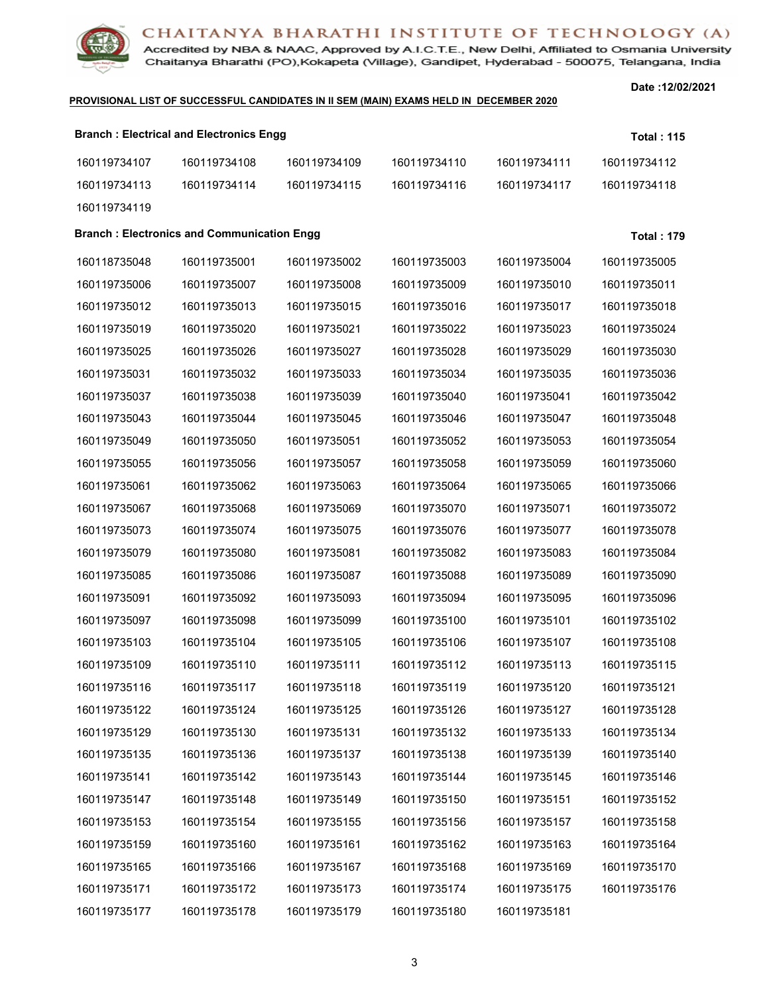Accredited by NBA & NAAC, Approved by A.I.C.T.E., New Delhi, Affiliated to Osmania University Chaitanya Bharathi (PO), Kokapeta (Village), Gandipet, Hyderabad - 500075, Telangana, India

### **PROVISIONAL LIST OF SUCCESSFUL CANDIDATES IN II SEM (MAIN) EXAMS HELD IN DECEMBER 2020**

|              | <b>Branch: Electrical and Electronics Engg</b>    |              |              |              | <b>Total: 115</b> |
|--------------|---------------------------------------------------|--------------|--------------|--------------|-------------------|
| 160119734107 | 160119734108                                      | 160119734109 | 160119734110 | 160119734111 | 160119734112      |
| 160119734113 | 160119734114                                      | 160119734115 | 160119734116 | 160119734117 | 160119734118      |
| 160119734119 |                                                   |              |              |              |                   |
|              | <b>Branch: Electronics and Communication Engg</b> |              |              |              | <b>Total: 179</b> |
| 160118735048 | 160119735001                                      | 160119735002 | 160119735003 | 160119735004 | 160119735005      |
| 160119735006 | 160119735007                                      | 160119735008 | 160119735009 | 160119735010 | 160119735011      |
| 160119735012 | 160119735013                                      | 160119735015 | 160119735016 | 160119735017 | 160119735018      |
| 160119735019 | 160119735020                                      | 160119735021 | 160119735022 | 160119735023 | 160119735024      |
| 160119735025 | 160119735026                                      | 160119735027 | 160119735028 | 160119735029 | 160119735030      |
| 160119735031 | 160119735032                                      | 160119735033 | 160119735034 | 160119735035 | 160119735036      |
| 160119735037 | 160119735038                                      | 160119735039 | 160119735040 | 160119735041 | 160119735042      |
| 160119735043 | 160119735044                                      | 160119735045 | 160119735046 | 160119735047 | 160119735048      |
| 160119735049 | 160119735050                                      | 160119735051 | 160119735052 | 160119735053 | 160119735054      |
| 160119735055 | 160119735056                                      | 160119735057 | 160119735058 | 160119735059 | 160119735060      |
| 160119735061 | 160119735062                                      | 160119735063 | 160119735064 | 160119735065 | 160119735066      |
| 160119735067 | 160119735068                                      | 160119735069 | 160119735070 | 160119735071 | 160119735072      |
| 160119735073 | 160119735074                                      | 160119735075 | 160119735076 | 160119735077 | 160119735078      |
| 160119735079 | 160119735080                                      | 160119735081 | 160119735082 | 160119735083 | 160119735084      |
| 160119735085 | 160119735086                                      | 160119735087 | 160119735088 | 160119735089 | 160119735090      |
| 160119735091 | 160119735092                                      | 160119735093 | 160119735094 | 160119735095 | 160119735096      |
| 160119735097 | 160119735098                                      | 160119735099 | 160119735100 | 160119735101 | 160119735102      |
| 160119735103 | 160119735104                                      | 160119735105 | 160119735106 | 160119735107 | 160119735108      |
| 160119735109 | 160119735110                                      | 160119735111 | 160119735112 | 160119735113 | 160119735115      |
| 160119735116 | 160119735117                                      | 160119735118 | 160119735119 | 160119735120 | 160119735121      |
| 160119735122 | 160119735124                                      | 160119735125 | 160119735126 | 160119735127 | 160119735128      |
| 160119735129 | 160119735130                                      | 160119735131 | 160119735132 | 160119735133 | 160119735134      |
| 160119735135 | 160119735136                                      | 160119735137 | 160119735138 | 160119735139 | 160119735140      |
| 160119735141 | 160119735142                                      | 160119735143 | 160119735144 | 160119735145 | 160119735146      |
| 160119735147 | 160119735148                                      | 160119735149 | 160119735150 | 160119735151 | 160119735152      |
| 160119735153 | 160119735154                                      | 160119735155 | 160119735156 | 160119735157 | 160119735158      |
| 160119735159 | 160119735160                                      | 160119735161 | 160119735162 | 160119735163 | 160119735164      |
| 160119735165 | 160119735166                                      | 160119735167 | 160119735168 | 160119735169 | 160119735170      |
| 160119735171 | 160119735172                                      | 160119735173 | 160119735174 | 160119735175 | 160119735176      |
| 160119735177 | 160119735178                                      | 160119735179 | 160119735180 | 160119735181 |                   |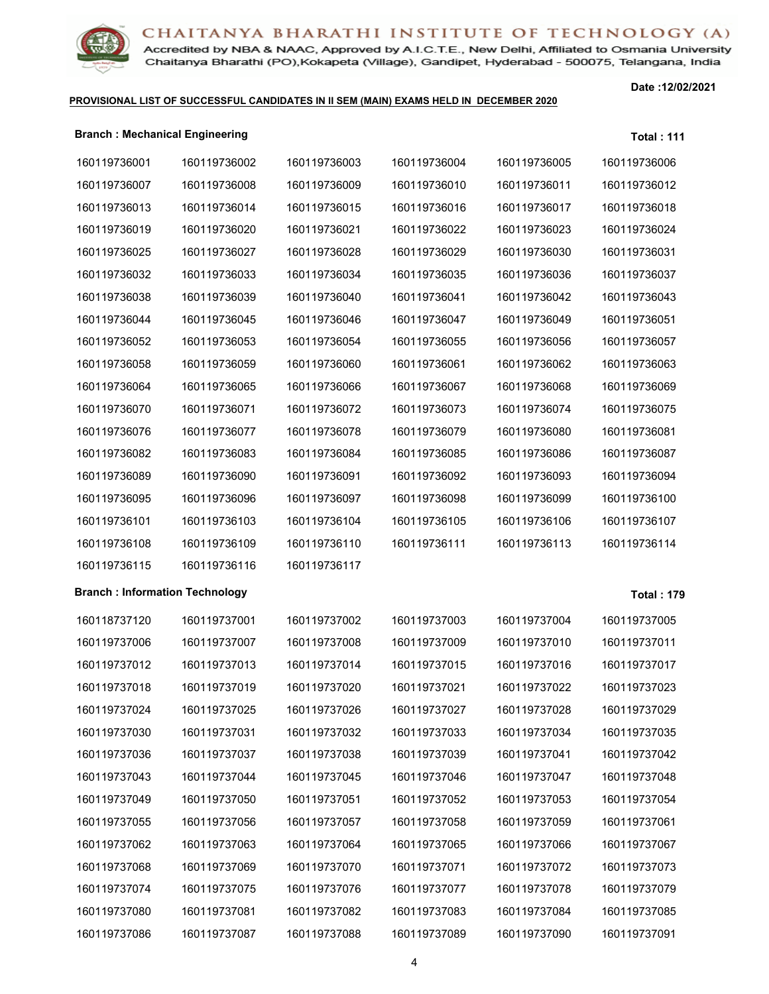

Accredited by NBA & NAAC, Approved by A.I.C.T.E., New Delhi, Affiliated to Osmania University Chaitanya Bharathi (PO), Kokapeta (Village), Gandipet, Hyderabad - 500075, Telangana, India

### **PROVISIONAL LIST OF SUCCESSFUL CANDIDATES IN II SEM (MAIN) EXAMS HELD IN DECEMBER 2020**

| <b>Branch: Mechanical Engineering</b> |              |              |              |              | <b>Total: 111</b> |
|---------------------------------------|--------------|--------------|--------------|--------------|-------------------|
| 160119736001                          | 160119736002 | 160119736003 | 160119736004 | 160119736005 | 160119736006      |
| 160119736007                          | 160119736008 | 160119736009 | 160119736010 | 160119736011 | 160119736012      |
| 160119736013                          | 160119736014 | 160119736015 | 160119736016 | 160119736017 | 160119736018      |
| 160119736019                          | 160119736020 | 160119736021 | 160119736022 | 160119736023 | 160119736024      |
| 160119736025                          | 160119736027 | 160119736028 | 160119736029 | 160119736030 | 160119736031      |
| 160119736032                          | 160119736033 | 160119736034 | 160119736035 | 160119736036 | 160119736037      |
| 160119736038                          | 160119736039 | 160119736040 | 160119736041 | 160119736042 | 160119736043      |
| 160119736044                          | 160119736045 | 160119736046 | 160119736047 | 160119736049 | 160119736051      |
| 160119736052                          | 160119736053 | 160119736054 | 160119736055 | 160119736056 | 160119736057      |
| 160119736058                          | 160119736059 | 160119736060 | 160119736061 | 160119736062 | 160119736063      |
| 160119736064                          | 160119736065 | 160119736066 | 160119736067 | 160119736068 | 160119736069      |
| 160119736070                          | 160119736071 | 160119736072 | 160119736073 | 160119736074 | 160119736075      |
| 160119736076                          | 160119736077 | 160119736078 | 160119736079 | 160119736080 | 160119736081      |
| 160119736082                          | 160119736083 | 160119736084 | 160119736085 | 160119736086 | 160119736087      |
| 160119736089                          | 160119736090 | 160119736091 | 160119736092 | 160119736093 | 160119736094      |
| 160119736095                          | 160119736096 | 160119736097 | 160119736098 | 160119736099 | 160119736100      |
| 160119736101                          | 160119736103 | 160119736104 | 160119736105 | 160119736106 | 160119736107      |
| 160119736108                          | 160119736109 | 160119736110 | 160119736111 | 160119736113 | 160119736114      |
| 160119736115                          | 160119736116 | 160119736117 |              |              |                   |
| <b>Branch: Information Technology</b> |              |              |              |              | <b>Total: 179</b> |
| 160118737120                          | 160119737001 | 160119737002 | 160119737003 | 160119737004 | 160119737005      |
| 160119737006                          | 160119737007 | 160119737008 | 160119737009 | 160119737010 | 160119737011      |
| 160119737012                          | 160119737013 | 160119737014 | 160119737015 | 160119737016 | 160119737017      |
| 160119737018                          | 160119737019 | 160119737020 | 160119737021 | 160119737022 | 160119737023      |
| 160119737024                          | 160119737025 | 160119737026 | 160119737027 | 160119737028 | 160119737029      |
| 160119737030                          | 160119737031 | 160119737032 | 160119737033 | 160119737034 | 160119737035      |
| 160119737036                          | 160119737037 | 160119737038 | 160119737039 | 160119737041 | 160119737042      |
| 160119737043                          | 160119737044 | 160119737045 | 160119737046 | 160119737047 | 160119737048      |
| 160119737049                          | 160119737050 | 160119737051 | 160119737052 | 160119737053 | 160119737054      |
| 160119737055                          | 160119737056 | 160119737057 | 160119737058 | 160119737059 | 160119737061      |
| 160119737062                          | 160119737063 | 160119737064 | 160119737065 | 160119737066 | 160119737067      |
| 160119737068                          | 160119737069 | 160119737070 | 160119737071 | 160119737072 | 160119737073      |
| 160119737074                          | 160119737075 | 160119737076 | 160119737077 | 160119737078 | 160119737079      |
| 160119737080                          | 160119737081 | 160119737082 | 160119737083 | 160119737084 | 160119737085      |
| 160119737086                          | 160119737087 | 160119737088 | 160119737089 | 160119737090 | 160119737091      |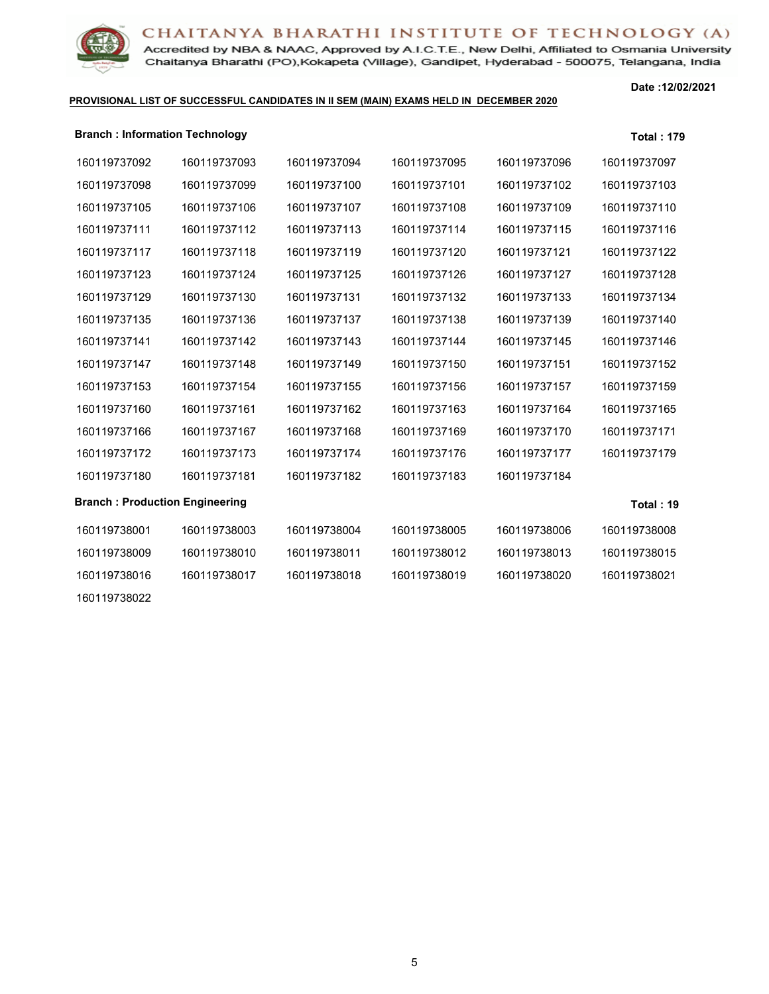Accredited by NBA & NAAC, Approved by A.I.C.T.E., New Delhi, Affiliated to Osmania University Chaitanya Bharathi (PO), Kokapeta (Village), Gandipet, Hyderabad - 500075, Telangana, India

### **PROVISIONAL LIST OF SUCCESSFUL CANDIDATES IN II SEM (MAIN) EXAMS HELD IN DECEMBER 2020**

| <b>Branch: Information Technology</b> |              |              |              |              | <b>Total: 179</b> |
|---------------------------------------|--------------|--------------|--------------|--------------|-------------------|
| 160119737092                          | 160119737093 | 160119737094 | 160119737095 | 160119737096 | 160119737097      |
| 160119737098                          | 160119737099 | 160119737100 | 160119737101 | 160119737102 | 160119737103      |
| 160119737105                          | 160119737106 | 160119737107 | 160119737108 | 160119737109 | 160119737110      |
| 160119737111                          | 160119737112 | 160119737113 | 160119737114 | 160119737115 | 160119737116      |
| 160119737117                          | 160119737118 | 160119737119 | 160119737120 | 160119737121 | 160119737122      |
| 160119737123                          | 160119737124 | 160119737125 | 160119737126 | 160119737127 | 160119737128      |
| 160119737129                          | 160119737130 | 160119737131 | 160119737132 | 160119737133 | 160119737134      |
| 160119737135                          | 160119737136 | 160119737137 | 160119737138 | 160119737139 | 160119737140      |
| 160119737141                          | 160119737142 | 160119737143 | 160119737144 | 160119737145 | 160119737146      |
| 160119737147                          | 160119737148 | 160119737149 | 160119737150 | 160119737151 | 160119737152      |
| 160119737153                          | 160119737154 | 160119737155 | 160119737156 | 160119737157 | 160119737159      |
| 160119737160                          | 160119737161 | 160119737162 | 160119737163 | 160119737164 | 160119737165      |
| 160119737166                          | 160119737167 | 160119737168 | 160119737169 | 160119737170 | 160119737171      |
| 160119737172                          | 160119737173 | 160119737174 | 160119737176 | 160119737177 | 160119737179      |
| 160119737180                          | 160119737181 | 160119737182 | 160119737183 | 160119737184 |                   |
| <b>Branch: Production Engineering</b> |              |              |              |              | Total: 19         |
| 160119738001                          | 160119738003 | 160119738004 | 160119738005 | 160119738006 | 160119738008      |
| 160119738009                          | 160119738010 | 160119738011 | 160119738012 | 160119738013 | 160119738015      |
| 160119738016                          | 160119738017 | 160119738018 | 160119738019 | 160119738020 | 160119738021      |
| 160119738022                          |              |              |              |              |                   |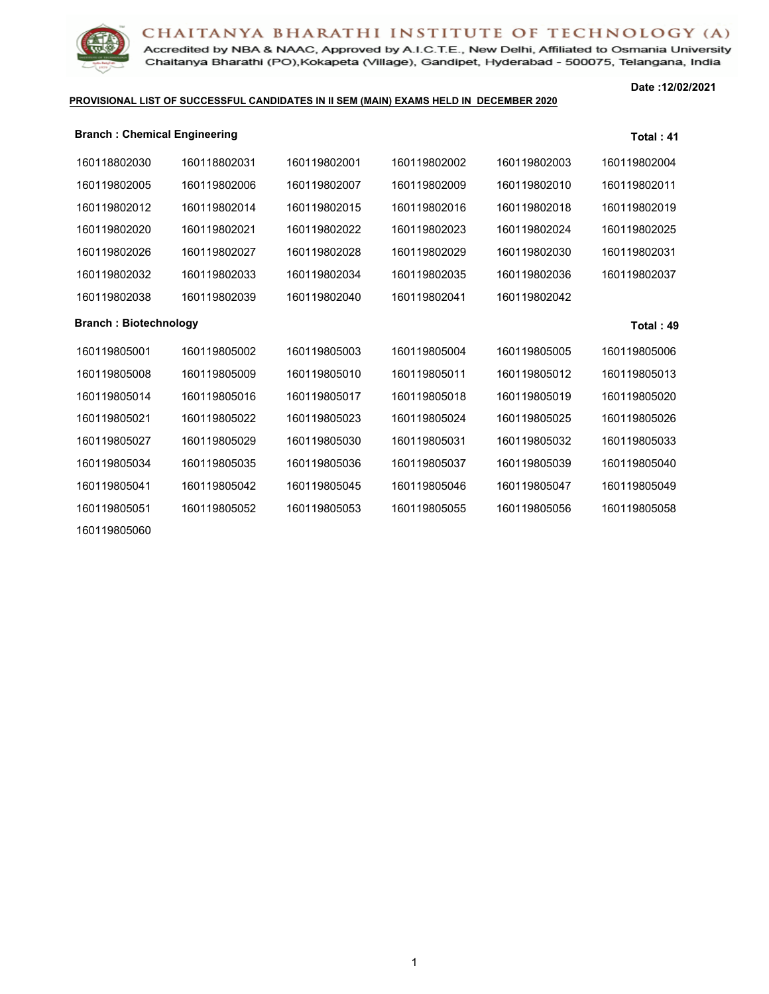Accredited by NBA & NAAC, Approved by A.I.C.T.E., New Delhi, Affiliated to Osmania University Chaitanya Bharathi (PO), Kokapeta (Village), Gandipet, Hyderabad - 500075, Telangana, India

### **PROVISIONAL LIST OF SUCCESSFUL CANDIDATES IN II SEM (MAIN) EXAMS HELD IN DECEMBER 2020**

**Date :12/02/2021**

| <b>Branch: Chemical Engineering</b> |              |              |              | Total: $41$  |
|-------------------------------------|--------------|--------------|--------------|--------------|
| 160118802031                        | 160119802001 | 160119802002 | 160119802003 | 160119802004 |
| 160119802006                        | 160119802007 | 160119802009 | 160119802010 | 160119802011 |
| 160119802014                        | 160119802015 | 160119802016 | 160119802018 | 160119802019 |
| 160119802021                        | 160119802022 | 160119802023 | 160119802024 | 160119802025 |
| 160119802027                        | 160119802028 | 160119802029 | 160119802030 | 160119802031 |
| 160119802033                        | 160119802034 | 160119802035 | 160119802036 | 160119802037 |
| 160119802039                        | 160119802040 | 160119802041 | 160119802042 |              |
| <b>Branch: Biotechnology</b>        |              |              |              | Total: 49    |
| 160119805002                        | 160119805003 | 160119805004 | 160119805005 | 160119805006 |
| 160119805009                        | 160119805010 | 160119805011 | 160119805012 | 160119805013 |
| 160119805016                        | 160119805017 | 160119805018 | 160119805019 | 160119805020 |
| 160119805022                        | 160119805023 | 160119805024 | 160119805025 | 160119805026 |
| 160119805029                        | 160119805030 | 160119805031 | 160119805032 | 160119805033 |
| 160119805035                        | 160119805036 | 160119805037 | 160119805039 | 160119805040 |
| 160119805042                        | 160119805045 | 160119805046 | 160119805047 | 160119805049 |
| 160119805052                        | 160119805053 | 160119805055 | 160119805056 | 160119805058 |
|                                     |              |              |              |              |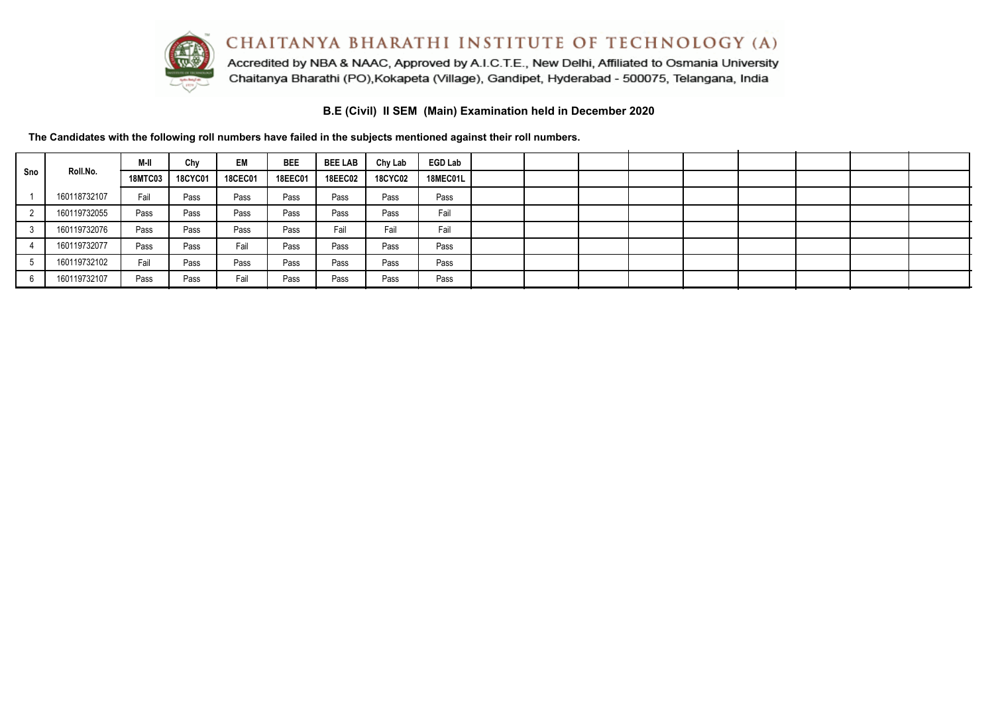

Accredited by NBA & NAAC, Approved by A.I.C.T.E., New Delhi, Affiliated to Osmania University Chaitanya Bharathi (PO), Kokapeta (Village), Gandipet, Hyderabad - 500075, Telangana, India

**B.E (Civil) II SEM (Main) Examination held in December 2020**

|     |              | M-II           | Chy            | EM             | <b>BEE</b> | <b>BEE LAB</b> | Chy Lab        | <b>EGD Lab</b>  |  |  |  |  |  |
|-----|--------------|----------------|----------------|----------------|------------|----------------|----------------|-----------------|--|--|--|--|--|
| Sno | Roll.No.     | <b>18MTC03</b> | <b>18CYC01</b> | <b>18CEC01</b> | 18EEC01    | <b>18EEC02</b> | <b>18CYC02</b> | <b>18MEC01L</b> |  |  |  |  |  |
|     | 160118732107 | Fail           | Pass           | Pass           | Pass       | Pass           | Pass           | Pass            |  |  |  |  |  |
|     | 160119732055 | Pass           | Pass           | Pass           | Pass       | Pass           | Pass           | Fail            |  |  |  |  |  |
|     | 160119732076 | Pass           | Pass           | Pass           | Pass       | Fail           | Fail           | Fail            |  |  |  |  |  |
|     | 160119732077 | Pass           | Pass           | Fail           | Pass       | Pass           | Pass           | Pass            |  |  |  |  |  |
|     | 160119732102 | Fail           | Pass           | Pass           | Pass       | Pass           | Pass           | Pass            |  |  |  |  |  |
|     | 160119732107 | Pass           | Pass           | Fail           | Pass       | Pass           | Pass           | Pass            |  |  |  |  |  |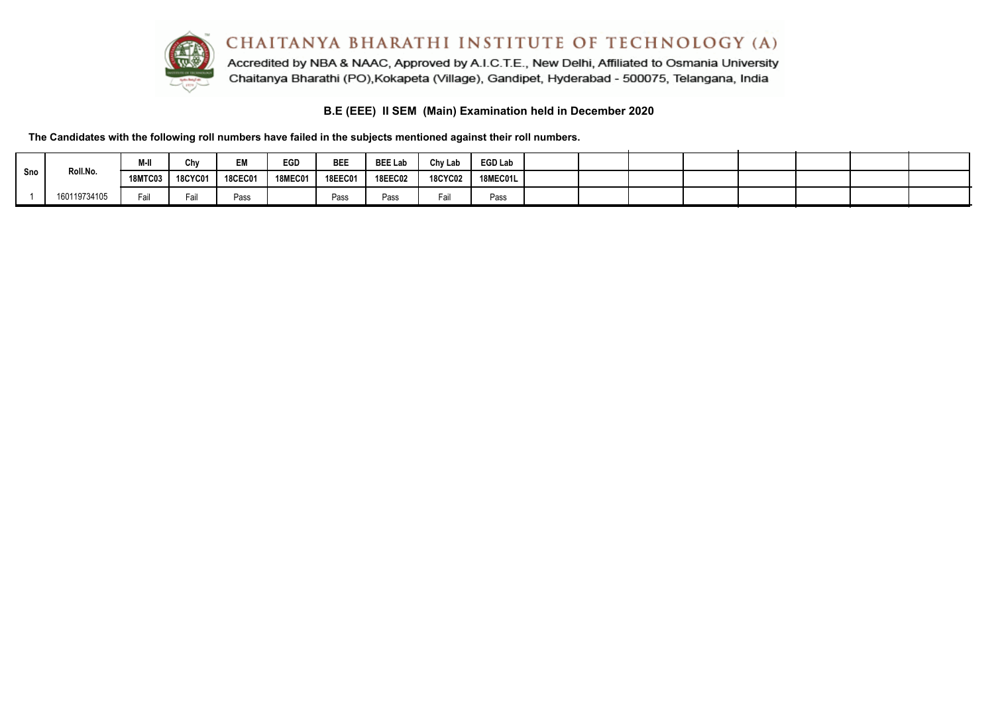

## **B.E (EEE) II SEM (Main) Examination held in December 2020**

|     |              | M-II           | Chy            | EM             | <b>EGD</b>     | <b>BEE</b>     | <b>BEE Lab</b> | Chy Lab        | EGD Lab  |  |  |  |  |
|-----|--------------|----------------|----------------|----------------|----------------|----------------|----------------|----------------|----------|--|--|--|--|
| Sno | Roll.No.     | <b>18MTC03</b> | <b>18CYC01</b> | <b>18CEC01</b> | <b>18MEC01</b> | <b>18EEC01</b> | <b>18EEC02</b> | <b>18CYC02</b> | 18MEC01L |  |  |  |  |
|     | 160119734105 | Fail           |                | Pass           |                | Pass           | Pass           | a              | Pass     |  |  |  |  |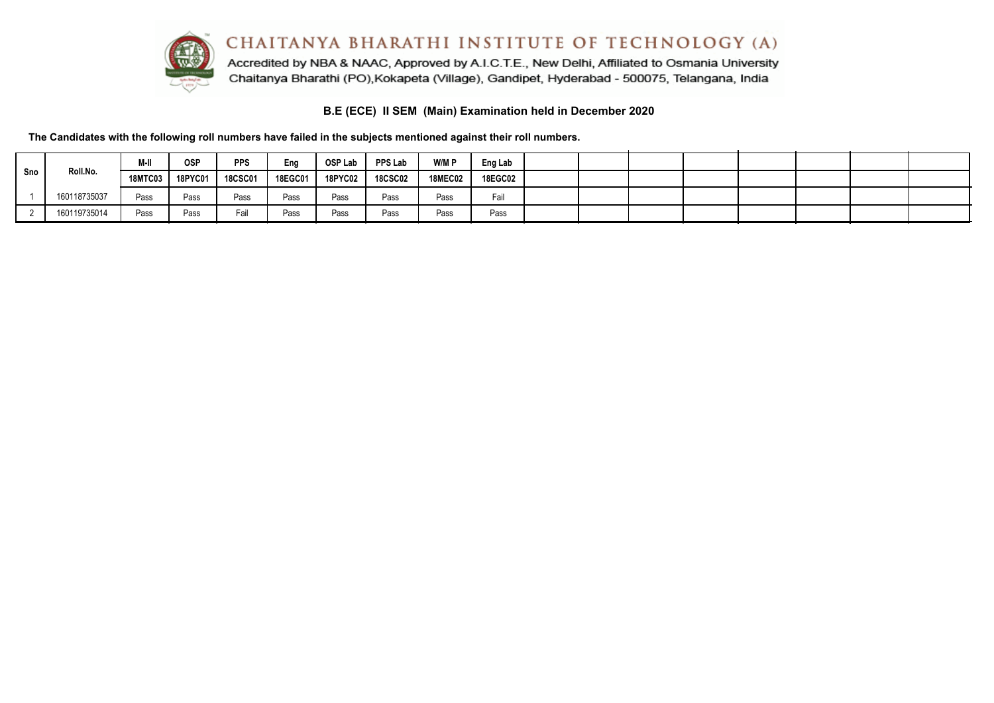

Accredited by NBA & NAAC, Approved by A.I.C.T.E., New Delhi, Affiliated to Osmania University Chaitanya Bharathi (PO), Kokapeta (Village), Gandipet, Hyderabad - 500075, Telangana, India

# **B.E (ECE) II SEM (Main) Examination held in December 2020**

|     |              | M-II           | <b>OSP</b> | <b>PPS</b>     | Eng     | OSP Lab        | <b>PPS Lab</b> | W/M P          | Eng Lab        |  |  |  |  |
|-----|--------------|----------------|------------|----------------|---------|----------------|----------------|----------------|----------------|--|--|--|--|
| Sno | Roll.No.     | <b>18MTC03</b> | 18PYC01    | <b>18CSC01</b> | 18EGC01 | <b>18PYC02</b> | <b>18CSC02</b> | <b>18MEC02</b> | <b>18EGC02</b> |  |  |  |  |
|     | 160118735037 | Pass           | Pass       | Pass           | Pass    | Pass           | Pass           | Pass           | Fail           |  |  |  |  |
|     | 160119735014 | Pass           | Pass       | Fail           | Pass    | Pass           | Pass           | Pass           | Pass           |  |  |  |  |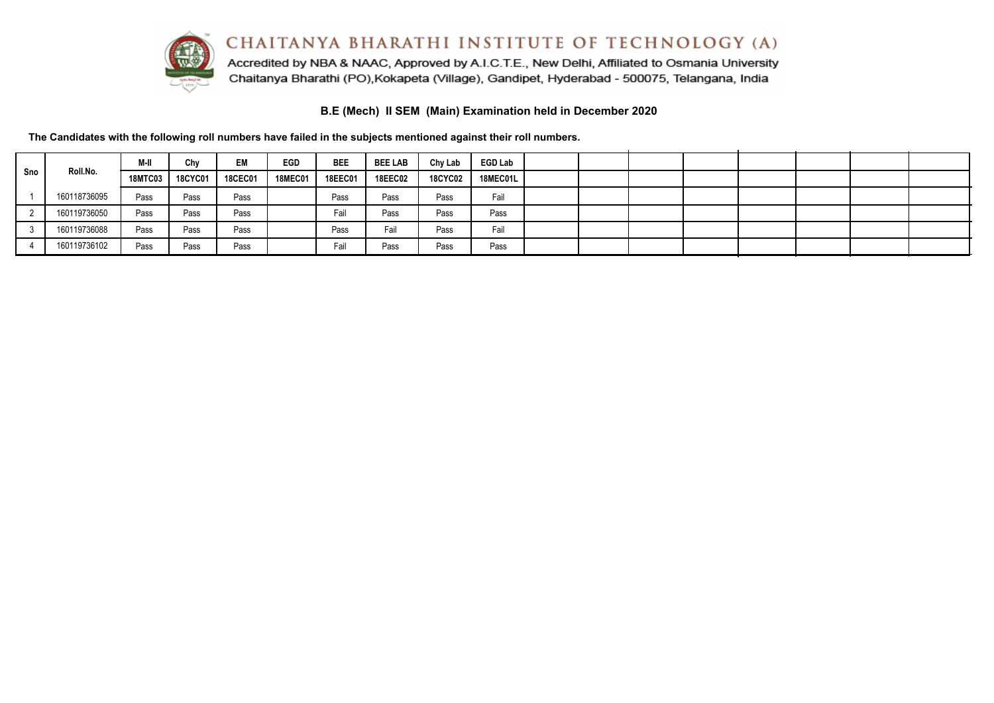

Accredited by NBA & NAAC, Approved by A.I.C.T.E., New Delhi, Affiliated to Osmania University Chaitanya Bharathi (PO), Kokapeta (Village), Gandipet, Hyderabad - 500075, Telangana, India

**B.E (Mech) II SEM (Main) Examination held in December 2020**

|     |              | M-II           | Chy     | EM             | <b>EGD</b>     | <b>BEE</b>     | <b>BEE LAB</b> | Chy Lab        | <b>EGD Lab</b> |  |  |  |  |
|-----|--------------|----------------|---------|----------------|----------------|----------------|----------------|----------------|----------------|--|--|--|--|
| Sno | Roll.No.     | <b>18MTC03</b> | 18CYC01 | <b>18CEC01</b> | <b>18MEC01</b> | <b>18EEC01</b> | <b>18EEC02</b> | <b>18CYC02</b> | 18MEC01L       |  |  |  |  |
|     | 160118736095 | Pass           | Pass    | Pass           |                | Pass           | Pass           | Pass           | Fail           |  |  |  |  |
|     | 160119736050 | Pass           | Pass    | Pass           |                | Fail           | Pass           | Pass           | Pass           |  |  |  |  |
|     | 160119736088 | Pass           | Pass    | Pass           |                | Pass           | Fail           | Pass           | Fail           |  |  |  |  |
|     | 160119736102 | Pass           | Pass    | Pass           |                | Fail           | Pass           | Pass           | Pass           |  |  |  |  |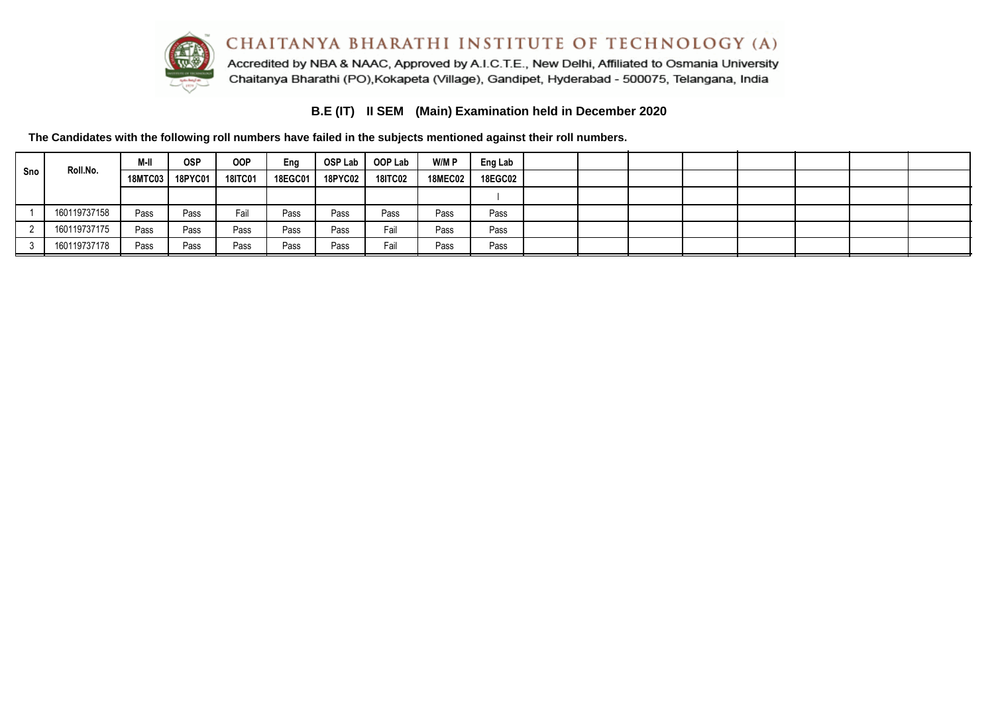

# **B.E (IT) II SEM (Main) Examination held in December 2020**

|     | Roll.No.     | M-II    | <b>OSP</b>     | <b>OOP</b>     | Eng     |                | OSP Lab   OOP Lab | W/M P          | Eng Lab        |  |  |  |  |
|-----|--------------|---------|----------------|----------------|---------|----------------|-------------------|----------------|----------------|--|--|--|--|
| Sno |              | 18MTC03 | <b>18PYC01</b> | <b>18ITC01</b> | 18EGC01 | <b>18PYC02</b> | <b>18ITC02</b>    | <b>18MEC02</b> | <b>18EGC02</b> |  |  |  |  |
|     |              |         |                |                |         |                |                   |                |                |  |  |  |  |
|     | 160119737158 | Pass    | Pass           | Fail           | Pass    | Pass           | Pass              | Pass           | Pass           |  |  |  |  |
|     | 160119737175 | Pass    | Pass           | Pass           | Pass    | Pass           | Fail              | Pass           | Pass           |  |  |  |  |
|     | 160119737178 | Pass    | Pass           | Pass           | Pass    | Pass           | Fail              | Pass           | Pass           |  |  |  |  |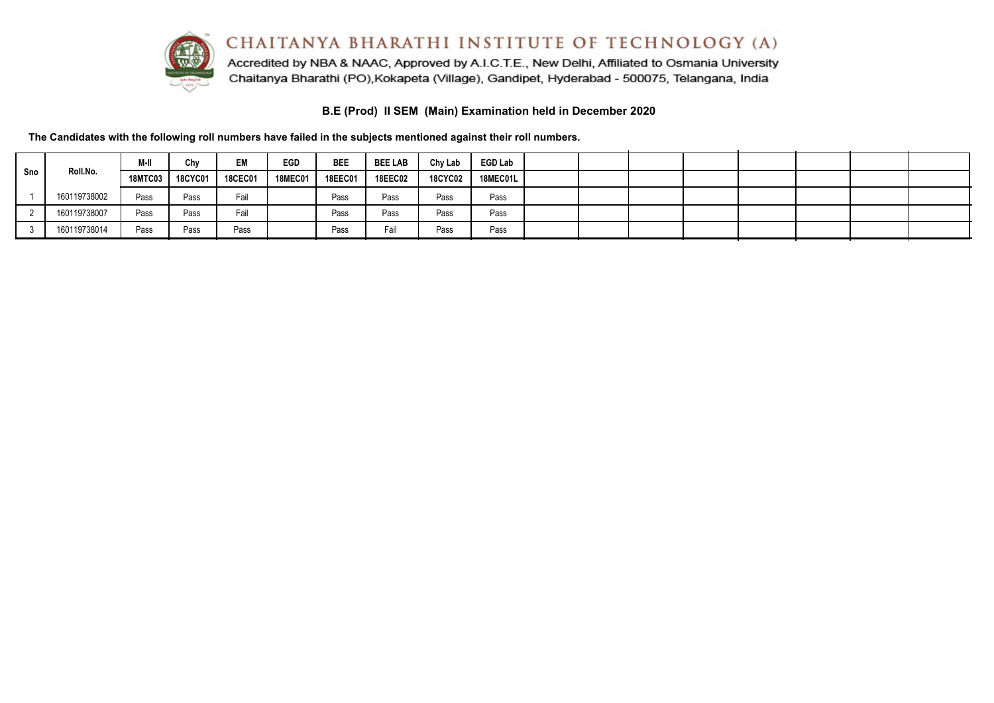

Accredited by NBA & NAAC, Approved by A.I.C.T.E., New Delhi, Affiliated to Osmania University Chaitanya Bharathi (PO), Kokapeta (Village), Gandipet, Hyderabad - 500075, Telangana, India

**B.E (Prod) II SEM (Main) Examination held in December 2020**

|     |              | M-II      | Chv            | EM             | <b>EGD</b> | <b>BEE</b> | <b>BEE LAB</b> | Chy Lab        | <b>EGD Lab</b> |  |  |  |  |
|-----|--------------|-----------|----------------|----------------|------------|------------|----------------|----------------|----------------|--|--|--|--|
| Sno | Roll.No.     | 18MTC03 L | <b>18CYC01</b> | <b>18CEC01</b> | 18MEC01 l  | 18EEC01    | <b>18EEC02</b> | <b>18CYC02</b> | 18MEC01L       |  |  |  |  |
|     | 160119738002 | Pass      | Pass           | Fail           |            | Pass       | Pass           | Pass           | Pass           |  |  |  |  |
|     | 160119738007 | Pass      | Pass           | Fail           |            | Pass       | Pass           | Pass           | Pass           |  |  |  |  |
|     | 160119738014 | Pass      | Pass           | Pass           |            | Pass       | Fail           | Pass           | Pass           |  |  |  |  |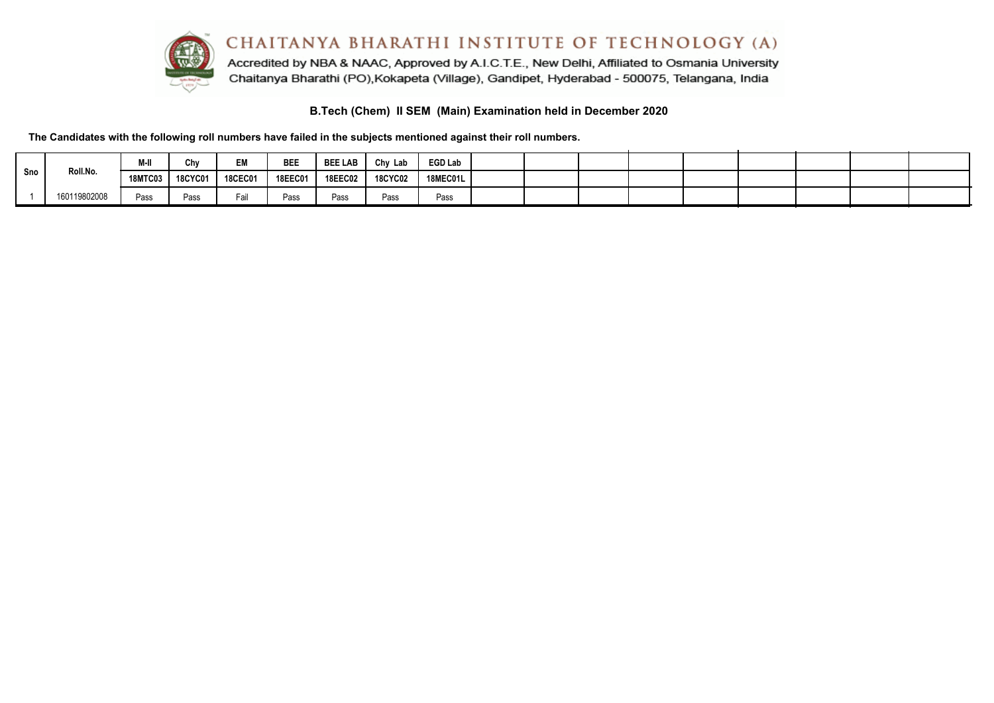

# **B.Tech (Chem) II SEM (Main) Examination held in December 2020**

| Sno | Roll.No.     | M-II    | Chv            | EM             | BEE            | <b>BEE LAB</b> | Chy Lab        | <b>EGD Lab</b> |  |  |  |  |  |
|-----|--------------|---------|----------------|----------------|----------------|----------------|----------------|----------------|--|--|--|--|--|
|     |              | 18MTC03 | <b>18CYC01</b> | <b>18CEC01</b> | <b>18EEC01</b> | <b>18EEC02</b> | <b>18CYC02</b> | 18MEC01L       |  |  |  |  |  |
|     | 160119802008 | Pass    | Pass           | Fail           | Pass           | Pass           | Pass           | Pass           |  |  |  |  |  |